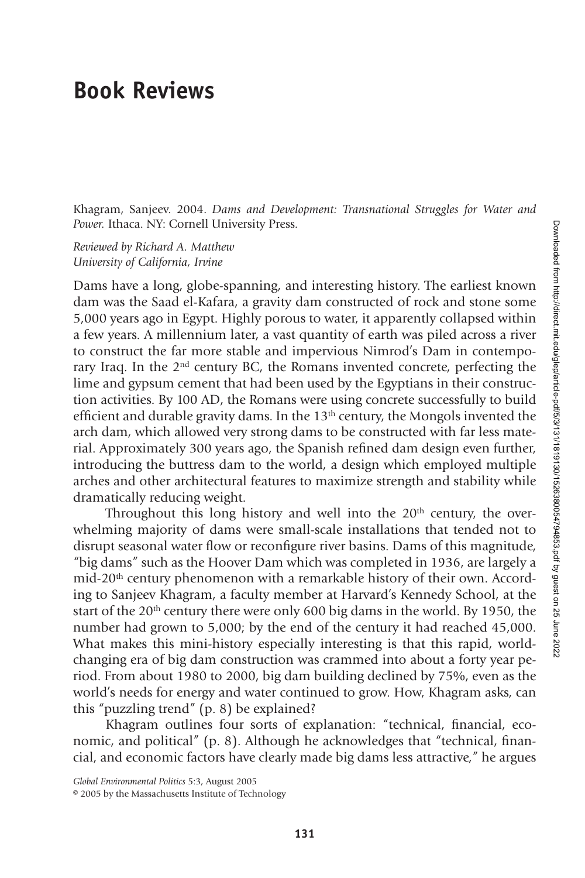## **Book Reviews**

Khagram, Sanjeev. 2004. *Dams and Development: Transnational Struggles for Water and Power.* Ithaca. NY: Cornell University Press.

*Reviewed by Richard A. Matthew University of California, Irvine*

Dams have a long, globe-spanning, and interesting history. The earliest known dam was the Saad el-Kafara, a gravity dam constructed of rock and stone some 5,000 years ago in Egypt. Highly porous to water, it apparently collapsed within a few years. A millennium later, a vast quantity of earth was piled across a river to construct the far more stable and impervious Nimrod's Dam in contemporary Iraq. In the  $2<sup>nd</sup>$  century BC, the Romans invented concrete, perfecting the lime and gypsum cement that had been used by the Egyptians in their construction activities. By 100 AD, the Romans were using concrete successfully to build efficient and durable gravity dams. In the  $13<sup>th</sup>$  century, the Mongols invented the arch dam, which allowed very strong dams to be constructed with far less material. Approximately 300 years ago, the Spanish refined dam design even further, introducing the buttress dam to the world, a design which employed multiple arches and other architectural features to maximize strength and stability while dramatically reducing weight.

Throughout this long history and well into the  $20<sup>th</sup>$  century, the overwhelming majority of dams were small-scale installations that tended not to disrupt seasonal water flow or reconfigure river basins. Dams of this magnitude, "big dams" such as the Hoover Dam which was completed in 1936, are largely a mid-20th century phenomenon with a remarkable history of their own. According to Sanjeev Khagram, a faculty member at Harvard's Kennedy School, at the start of the  $20<sup>th</sup>$  century there were only 600 big dams in the world. By 1950, the number had grown to 5,000; by the end of the century it had reached 45,000. What makes this mini-history especially interesting is that this rapid, worldchanging era of big dam construction was crammed into about a forty year period. From about 1980 to 2000, big dam building declined by 75%, even as the world's needs for energy and water continued to grow. How, Khagram asks, can this "puzzling trend" (p. 8) be explained?

Khagram outlines four sorts of explanation: "technical, financial, economic, and political" (p. 8). Although he acknowledges that "technical, financial, and economic factors have clearly made big dams less attractive," he argues

*Global Environmental Politics* 5:3, August 2005

<sup>© 2005</sup> by the Massachusetts Institute of Technology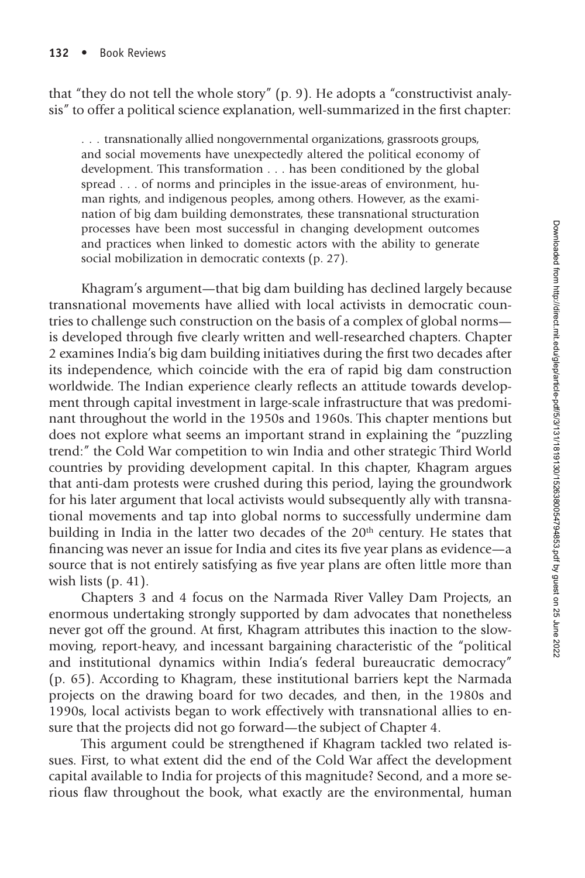that "they do not tell the whole story" (p. 9). He adopts a "constructivist analysis" to offer a political science explanation, well-summarized in the first chapter:

...transnationally allied nongovernmental organizations, grassroots groups, and social movements have unexpectedly altered the political economy of development. This transformation . . . has been conditioned by the global spread . . . of norms and principles in the issue-areas of environment, human rights, and indigenous peoples, among others. However, as the examination of big dam building demonstrates, these transnational structuration processes have been most successful in changing development outcomes and practices when linked to domestic actors with the ability to generate social mobilization in democratic contexts (p. 27).

Khagram's argument—that big dam building has declined largely because transnational movements have allied with local activists in democratic countries to challenge such construction on the basis of a complex of global norms is developed through five clearly written and well-researched chapters. Chapter 2 examines India's big dam building initiatives during the first two decades after its independence, which coincide with the era of rapid big dam construction worldwide. The Indian experience clearly reflects an attitude towards development through capital investment in large-scale infrastructure that was predominant throughout the world in the 1950s and 1960s. This chapter mentions but does not explore what seems an important strand in explaining the "puzzling trend:" the Cold War competition to win India and other strategic Third World countries by providing development capital. In this chapter, Khagram argues that anti-dam protests were crushed during this period, laying the groundwork for his later argument that local activists would subsequently ally with transnational movements and tap into global norms to successfully undermine dam building in India in the latter two decades of the 20<sup>th</sup> century. He states that financing was never an issue for India and cites its five year plans as evidence—a source that is not entirely satisfying as five year plans are often little more than wish lists (p. 41).

Chapters 3 and 4 focus on the Narmada River Valley Dam Projects, an enormous undertaking strongly supported by dam advocates that nonetheless never got off the ground. At first, Khagram attributes this inaction to the slowmoving, report-heavy, and incessant bargaining characteristic of the "political and institutional dynamics within India's federal bureaucratic democracy" (p. 65). According to Khagram, these institutional barriers kept the Narmada projects on the drawing board for two decades, and then, in the 1980s and 1990s, local activists began to work effectively with transnational allies to ensure that the projects did not go forward—the subject of Chapter 4.

This argument could be strengthened if Khagram tackled two related issues. First, to what extent did the end of the Cold War affect the development capital available to India for projects of this magnitude? Second, and a more serious flaw throughout the book, what exactly are the environmental, human